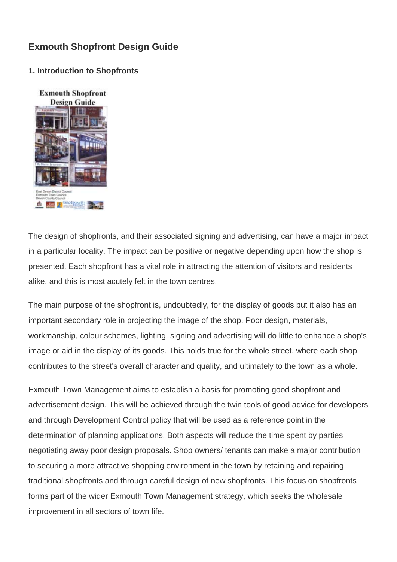# **Exmouth Shopfront Design Guide**

### **1. Introduction to Shopfronts**



The design of shopfronts, and their associated signing and advertising, can have a major impact in a particular locality. The impact can be positive or negative depending upon how the shop is presented. Each shopfront has a vital role in attracting the attention of visitors and residents alike, and this is most acutely felt in the town centres.

The main purpose of the shopfront is, undoubtedly, for the display of goods but it also has an important secondary role in projecting the image of the shop. Poor design, materials, workmanship, colour schemes, lighting, signing and advertising will do little to enhance a shop's image or aid in the display of its goods. This holds true for the whole street, where each shop contributes to the street's overall character and quality, and ultimately to the town as a whole.

Exmouth Town Management aims to establish a basis for promoting good shopfront and advertisement design. This will be achieved through the twin tools of good advice for developers and through Development Control policy that will be used as a reference point in the determination of planning applications. Both aspects will reduce the time spent by parties negotiating away poor design proposals. Shop owners/ tenants can make a major contribution to securing a more attractive shopping environment in the town by retaining and repairing traditional shopfronts and through careful design of new shopfronts. This focus on shopfronts forms part of the wider Exmouth Town Management strategy, which seeks the wholesale improvement in all sectors of town life.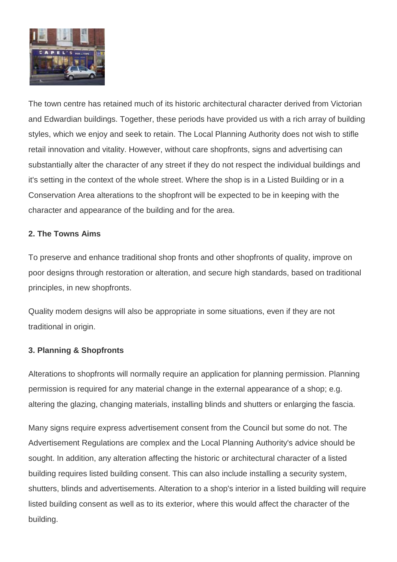

The town centre has retained much of its historic architectural character derived from Victorian and Edwardian buildings. Together, these periods have provided us with a rich array of building styles, which we enjoy and seek to retain. The Local Planning Authority does not wish to stifle retail innovation and vitality. However, without care shopfronts, signs and advertising can substantially alter the character of any street if they do not respect the individual buildings and it's setting in the context of the whole street. Where the shop is in a Listed Building or in a Conservation Area alterations to the shopfront will be expected to be in keeping with the character and appearance of the building and for the area.

## **2. The Towns Aims**

To preserve and enhance traditional shop fronts and other shopfronts of quality, improve on poor designs through restoration or alteration, and secure high standards, based on traditional principles, in new shopfronts.

Quality modem designs will also be appropriate in some situations, even if they are not traditional in origin.

## **3. Planning & Shopfronts**

Alterations to shopfronts will normally require an application for planning permission. Planning permission is required for any material change in the external appearance of a shop; e.g. altering the glazing, changing materials, installing blinds and shutters or enlarging the fascia.

Many signs require express advertisement consent from the Council but some do not. The Advertisement Regulations are complex and the Local Planning Authority's advice should be sought. In addition, any alteration affecting the historic or architectural character of a listed building requires listed building consent. This can also include installing a security system, shutters, blinds and advertisements. Alteration to a shop's interior in a listed building will require listed building consent as well as to its exterior, where this would affect the character of the building.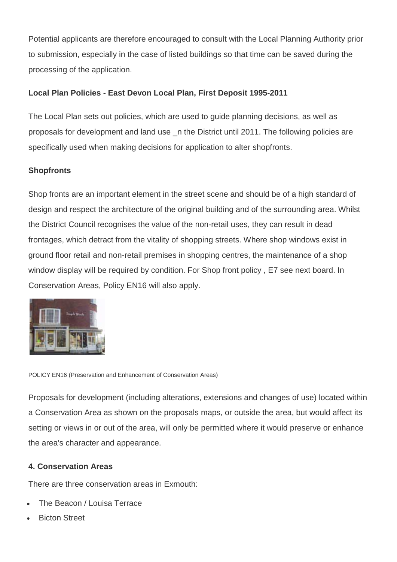Potential applicants are therefore encouraged to consult with the Local Planning Authority prior to submission, especially in the case of listed buildings so that time can be saved during the processing of the application.

# **Local Plan Policies - East Devon Local Plan, First Deposit 1995-2011**

The Local Plan sets out policies, which are used to guide planning decisions, as well as proposals for development and land use \_n the District until 2011. The following policies are specifically used when making decisions for application to alter shopfronts.

# **Shopfronts**

Shop fronts are an important element in the street scene and should be of a high standard of design and respect the architecture of the original building and of the surrounding area. Whilst the District Council recognises the value of the non-retail uses, they can result in dead frontages, which detract from the vitality of shopping streets. Where shop windows exist in ground floor retail and non-retail premises in shopping centres, the maintenance of a shop window display will be required by condition. For Shop front policy , E7 see next board. In Conservation Areas, Policy EN16 will also apply.



POLICY EN16 (Preservation and Enhancement of Conservation Areas)

Proposals for development (including alterations, extensions and changes of use) located within a Conservation Area as shown on the proposals maps, or outside the area, but would affect its setting or views in or out of the area, will only be permitted where it would preserve or enhance the area's character and appearance.

## **4. Conservation Areas**

There are three conservation areas in Exmouth:

- The Beacon / Louisa Terrace
- **Bicton Street**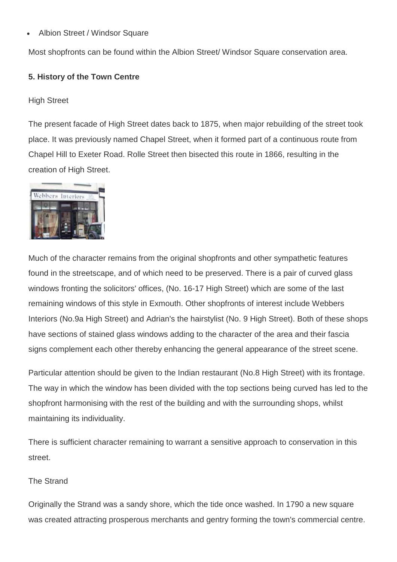• Albion Street / Windsor Square

Most shopfronts can be found within the Albion Street/ Windsor Square conservation area.

### **5. History of the Town Centre**

High Street

The present facade of High Street dates back to 1875, when major rebuilding of the street took place. It was previously named Chapel Street, when it formed part of a continuous route from Chapel Hill to Exeter Road. Rolle Street then bisected this route in 1866, resulting in the creation of High Street.



Much of the character remains from the original shopfronts and other sympathetic features found in the streetscape, and of which need to be preserved. There is a pair of curved glass windows fronting the solicitors' offices, (No. 16-17 High Street) which are some of the last remaining windows of this style in Exmouth. Other shopfronts of interest include Webbers Interiors (No.9a High Street) and Adrian's the hairstylist (No. 9 High Street). Both of these shops have sections of stained glass windows adding to the character of the area and their fascia signs complement each other thereby enhancing the general appearance of the street scene.

Particular attention should be given to the Indian restaurant (No.8 High Street) with its frontage. The way in which the window has been divided with the top sections being curved has led to the shopfront harmonising with the rest of the building and with the surrounding shops, whilst maintaining its individuality.

There is sufficient character remaining to warrant a sensitive approach to conservation in this street.

### The Strand

Originally the Strand was a sandy shore, which the tide once washed. In 1790 a new square was created attracting prosperous merchants and gentry forming the town's commercial centre.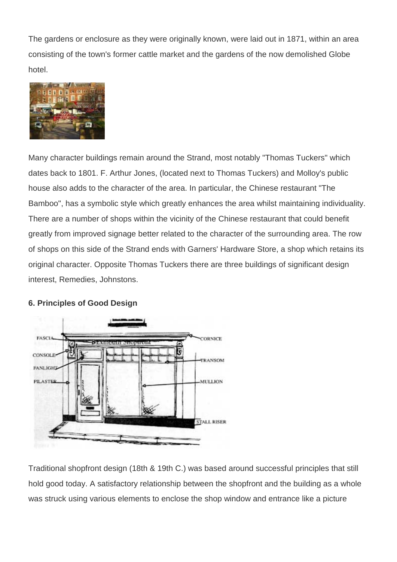The gardens or enclosure as they were originally known, were laid out in 1871, within an area consisting of the town's former cattle market and the gardens of the now demolished Globe hotel.



Many character buildings remain around the Strand, most notably "Thomas Tuckers" which dates back to 1801. F. Arthur Jones, (located next to Thomas Tuckers) and Molloy's public house also adds to the character of the area. In particular, the Chinese restaurant "The Bamboo", has a symbolic style which greatly enhances the area whilst maintaining individuality. There are a number of shops within the vicinity of the Chinese restaurant that could benefit greatly from improved signage better related to the character of the surrounding area. The row of shops on this side of the Strand ends with Garners' Hardware Store, a shop which retains its original character. Opposite Thomas Tuckers there are three buildings of significant design interest, Remedies, Johnstons.

### **6. Principles of Good Design**



Traditional shopfront design (18th & 19th C.) was based around successful principles that still hold good today. A satisfactory relationship between the shopfront and the building as a whole was struck using various elements to enclose the shop window and entrance like a picture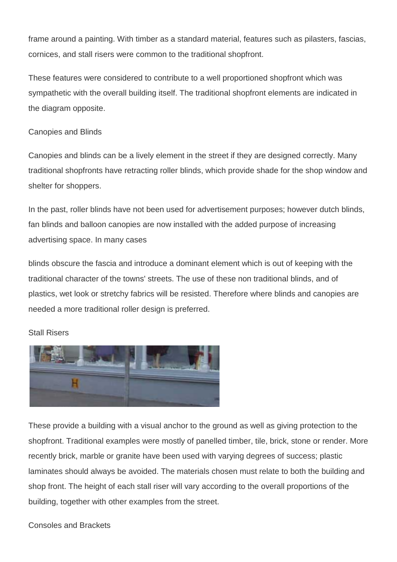frame around a painting. With timber as a standard material, features such as pilasters, fascias, cornices, and stall risers were common to the traditional shopfront.

These features were considered to contribute to a well proportioned shopfront which was sympathetic with the overall building itself. The traditional shopfront elements are indicated in the diagram opposite.

### Canopies and Blinds

Canopies and blinds can be a lively element in the street if they are designed correctly. Many traditional shopfronts have retracting roller blinds, which provide shade for the shop window and shelter for shoppers.

In the past, roller blinds have not been used for advertisement purposes; however dutch blinds, fan blinds and balloon canopies are now installed with the added purpose of increasing advertising space. In many cases

blinds obscure the fascia and introduce a dominant element which is out of keeping with the traditional character of the towns' streets. The use of these non traditional blinds, and of plastics, wet look or stretchy fabrics will be resisted. Therefore where blinds and canopies are needed a more traditional roller design is preferred.

# Stall Risers



These provide a building with a visual anchor to the ground as well as giving protection to the shopfront. Traditional examples were mostly of panelled timber, tile, brick, stone or render. More recently brick, marble or granite have been used with varying degrees of success; plastic laminates should always be avoided. The materials chosen must relate to both the building and shop front. The height of each stall riser will vary according to the overall proportions of the building, together with other examples from the street.

## Consoles and Brackets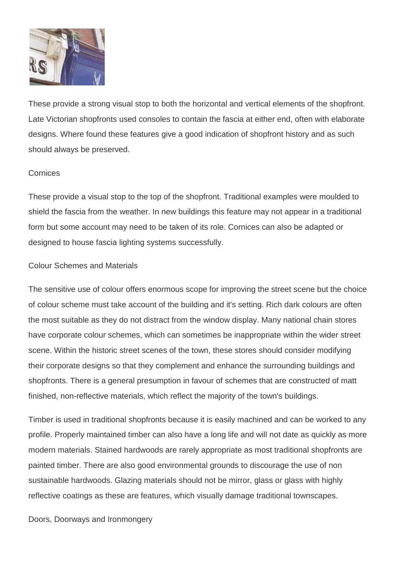

These provide a strong visual stop to both the horizontal and vertical elements of the shopfront. Late Victorian shopfronts used consoles to contain the fascia at either end, often with elaborate designs. Where found these features give a good indication of shopfront history and as such should always be preserved.

#### **Cornices**

These provide a visual stop to the top of the shopfront. Traditional examples were moulded to shield the fascia from the weather. In new buildings this feature may not appear in a traditional form but some account may need to be taken of its role. Cornices can also be adapted or designed to house fascia lighting systems successfully.

### Colour Schemes and Materials

The sensitive use of colour offers enormous scope for improving the street scene but the choice of colour scheme must take account of the building and it's setting. Rich dark colours are often the most suitable as they do not distract from the window display. Many national chain stores have corporate colour schemes, which can sometimes be inappropriate within the wider street scene. Within the historic street scenes of the town, these stores should consider modifying their corporate designs so that they complement and enhance the surrounding buildings and shopfronts. There is a general presumption in favour of schemes that are constructed of matt finished, non-reflective materials, which reflect the majority of the town's buildings.

Timber is used in traditional shopfronts because it is easily machined and can be worked to any profile. Properly maintained timber can also have a long life and will not date as quickly as more modern materials. Stained hardwoods are rarely appropriate as most traditional shopfronts are painted timber. There are also good environmental grounds to discourage the use of non sustainable hardwoods. Glazing materials should not be mirror, glass or glass with highly reflective coatings as these are features, which visually damage traditional townscapes.

Doors, Doorways and Ironmongery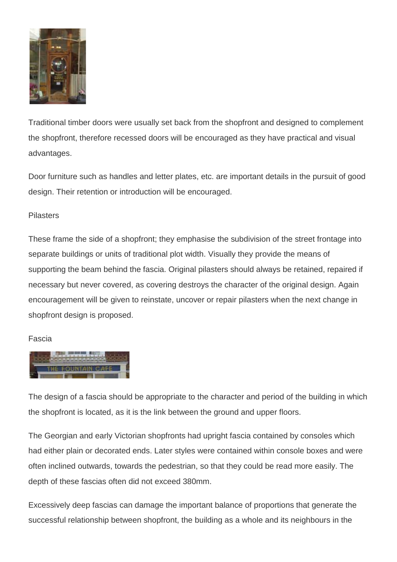

Traditional timber doors were usually set back from the shopfront and designed to complement the shopfront, therefore recessed doors will be encouraged as they have practical and visual advantages.

Door furniture such as handles and letter plates, etc. are important details in the pursuit of good design. Their retention or introduction will be encouraged.

### **Pilasters**

These frame the side of a shopfront; they emphasise the subdivision of the street frontage into separate buildings or units of traditional plot width. Visually they provide the means of supporting the beam behind the fascia. Original pilasters should always be retained, repaired if necessary but never covered, as covering destroys the character of the original design. Again encouragement will be given to reinstate, uncover or repair pilasters when the next change in shopfront design is proposed.

### Fascia



The design of a fascia should be appropriate to the character and period of the building in which the shopfront is located, as it is the link between the ground and upper floors.

The Georgian and early Victorian shopfronts had upright fascia contained by consoles which had either plain or decorated ends. Later styles were contained within console boxes and were often inclined outwards, towards the pedestrian, so that they could be read more easily. The depth of these fascias often did not exceed 380mm.

Excessively deep fascias can damage the important balance of proportions that generate the successful relationship between shopfront, the building as a whole and its neighbours in the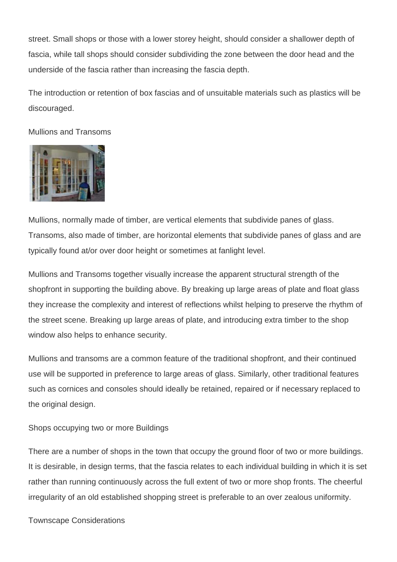street. Small shops or those with a lower storey height, should consider a shallower depth of fascia, while tall shops should consider subdividing the zone between the door head and the underside of the fascia rather than increasing the fascia depth.

The introduction or retention of box fascias and of unsuitable materials such as plastics will be discouraged.

Mullions and Transoms



Mullions, normally made of timber, are vertical elements that subdivide panes of glass. Transoms, also made of timber, are horizontal elements that subdivide panes of glass and are typically found at/or over door height or sometimes at fanlight level.

Mullions and Transoms together visually increase the apparent structural strength of the shopfront in supporting the building above. By breaking up large areas of plate and float glass they increase the complexity and interest of reflections whilst helping to preserve the rhythm of the street scene. Breaking up large areas of plate, and introducing extra timber to the shop window also helps to enhance security.

Mullions and transoms are a common feature of the traditional shopfront, and their continued use will be supported in preference to large areas of glass. Similarly, other traditional features such as cornices and consoles should ideally be retained, repaired or if necessary replaced to the original design.

Shops occupying two or more Buildings

There are a number of shops in the town that occupy the ground floor of two or more buildings. It is desirable, in design terms, that the fascia relates to each individual building in which it is set rather than running continuously across the full extent of two or more shop fronts. The cheerful irregularity of an old established shopping street is preferable to an over zealous uniformity.

Townscape Considerations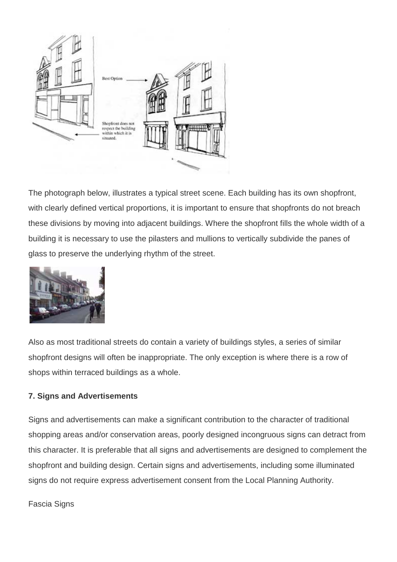

The photograph below, illustrates a typical street scene. Each building has its own shopfront, with clearly defined vertical proportions, it is important to ensure that shopfronts do not breach these divisions by moving into adjacent buildings. Where the shopfront fills the whole width of a building it is necessary to use the pilasters and mullions to vertically subdivide the panes of glass to preserve the underlying rhythm of the street.



Also as most traditional streets do contain a variety of buildings styles, a series of similar shopfront designs will often be inappropriate. The only exception is where there is a row of shops within terraced buildings as a whole.

### **7. Signs and Advertisements**

Signs and advertisements can make a significant contribution to the character of traditional shopping areas and/or conservation areas, poorly designed incongruous signs can detract from this character. It is preferable that all signs and advertisements are designed to complement the shopfront and building design. Certain signs and advertisements, including some illuminated signs do not require express advertisement consent from the Local Planning Authority.

Fascia Signs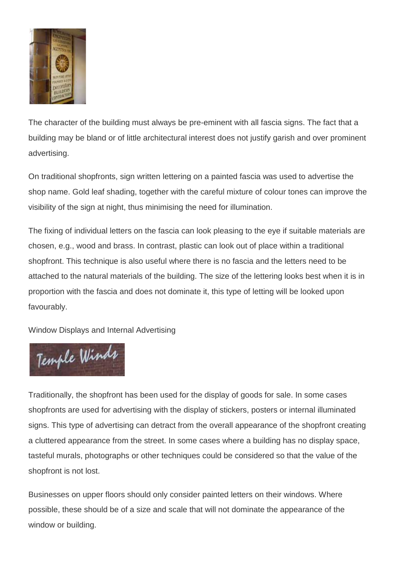

The character of the building must always be pre-eminent with all fascia signs. The fact that a building may be bland or of little architectural interest does not justify garish and over prominent advertising.

On traditional shopfronts, sign written lettering on a painted fascia was used to advertise the shop name. Gold leaf shading, together with the careful mixture of colour tones can improve the visibility of the sign at night, thus minimising the need for illumination.

The fixing of individual letters on the fascia can look pleasing to the eye if suitable materials are chosen, e.g., wood and brass. In contrast, plastic can look out of place within a traditional shopfront. This technique is also useful where there is no fascia and the letters need to be attached to the natural materials of the building. The size of the lettering looks best when it is in proportion with the fascia and does not dominate it, this type of letting will be looked upon favourably.

Window Displays and Internal Advertising



Traditionally, the shopfront has been used for the display of goods for sale. In some cases shopfronts are used for advertising with the display of stickers, posters or internal illuminated signs. This type of advertising can detract from the overall appearance of the shopfront creating a cluttered appearance from the street. In some cases where a building has no display space, tasteful murals, photographs or other techniques could be considered so that the value of the shopfront is not lost.

Businesses on upper floors should only consider painted letters on their windows. Where possible, these should be of a size and scale that will not dominate the appearance of the window or building.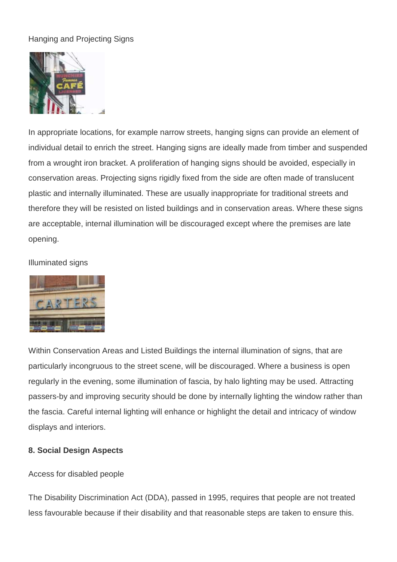# Hanging and Projecting Signs



In appropriate locations, for example narrow streets, hanging signs can provide an element of individual detail to enrich the street. Hanging signs are ideally made from timber and suspended from a wrought iron bracket. A proliferation of hanging signs should be avoided, especially in conservation areas. Projecting signs rigidly fixed from the side are often made of translucent plastic and internally illuminated. These are usually inappropriate for traditional streets and therefore they will be resisted on listed buildings and in conservation areas. Where these signs are acceptable, internal illumination will be discouraged except where the premises are late opening.

### Illuminated signs



Within Conservation Areas and Listed Buildings the internal illumination of signs, that are particularly incongruous to the street scene, will be discouraged. Where a business is open regularly in the evening, some illumination of fascia, by halo lighting may be used. Attracting passers-by and improving security should be done by internally lighting the window rather than the fascia. Careful internal lighting will enhance or highlight the detail and intricacy of window displays and interiors.

## **8. Social Design Aspects**

### Access for disabled people

The Disability Discrimination Act (DDA), passed in 1995, requires that people are not treated less favourable because if their disability and that reasonable steps are taken to ensure this.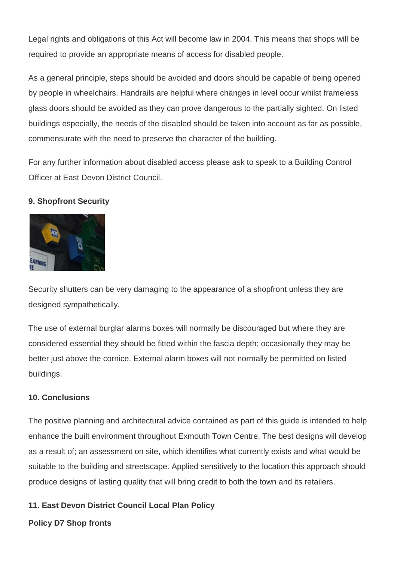Legal rights and obligations of this Act will become law in 2004. This means that shops will be required to provide an appropriate means of access for disabled people.

As a general principle, steps should be avoided and doors should be capable of being opened by people in wheelchairs. Handrails are helpful where changes in level occur whilst frameless glass doors should be avoided as they can prove dangerous to the partially sighted. On listed buildings especially, the needs of the disabled should be taken into account as far as possible, commensurate with the need to preserve the character of the building.

For any further information about disabled access please ask to speak to a Building Control Officer at East Devon District Council.

## **9. Shopfront Security**



Security shutters can be very damaging to the appearance of a shopfront unless they are designed sympathetically.

The use of external burglar alarms boxes will normally be discouraged but where they are considered essential they should be fitted within the fascia depth; occasionally they may be better just above the cornice. External alarm boxes will not normally be permitted on listed buildings.

### **10. Conclusions**

The positive planning and architectural advice contained as part of this guide is intended to help enhance the built environment throughout Exmouth Town Centre. The best designs will develop as a result of; an assessment on site, which identifies what currently exists and what would be suitable to the building and streetscape. Applied sensitively to the location this approach should produce designs of lasting quality that will bring credit to both the town and its retailers.

## **11. East Devon District Council Local Plan Policy**

### **Policy D7 Shop fronts**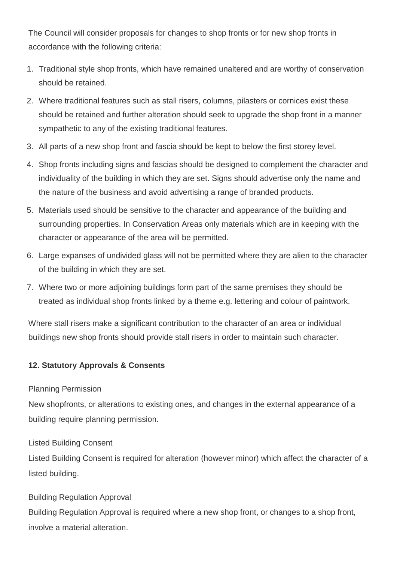The Council will consider proposals for changes to shop fronts or for new shop fronts in accordance with the following criteria:

- 1. Traditional style shop fronts, which have remained unaltered and are worthy of conservation should be retained.
- 2. Where traditional features such as stall risers, columns, pilasters or cornices exist these should be retained and further alteration should seek to upgrade the shop front in a manner sympathetic to any of the existing traditional features.
- 3. All parts of a new shop front and fascia should be kept to below the first storey level.
- 4. Shop fronts including signs and fascias should be designed to complement the character and individuality of the building in which they are set. Signs should advertise only the name and the nature of the business and avoid advertising a range of branded products.
- 5. Materials used should be sensitive to the character and appearance of the building and surrounding properties. In Conservation Areas only materials which are in keeping with the character or appearance of the area will be permitted.
- 6. Large expanses of undivided glass will not be permitted where they are alien to the character of the building in which they are set.
- 7. Where two or more adjoining buildings form part of the same premises they should be treated as individual shop fronts linked by a theme e.g. lettering and colour of paintwork.

Where stall risers make a significant contribution to the character of an area or individual buildings new shop fronts should provide stall risers in order to maintain such character.

### **12. Statutory Approvals & Consents**

### Planning Permission

New shopfronts, or alterations to existing ones, and changes in the external appearance of a building require planning permission.

Listed Building Consent

Listed Building Consent is required for alteration (however minor) which affect the character of a listed building.

### Building Regulation Approval

Building Regulation Approval is required where a new shop front, or changes to a shop front, involve a material alteration.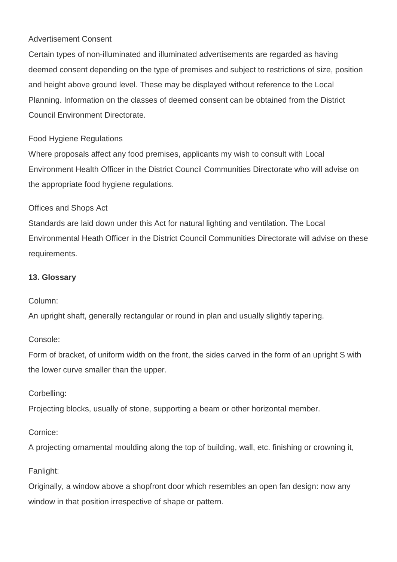### Advertisement Consent

Certain types of non-illuminated and illuminated advertisements are regarded as having deemed consent depending on the type of premises and subject to restrictions of size, position and height above ground level. These may be displayed without reference to the Local Planning. Information on the classes of deemed consent can be obtained from the District Council Environment Directorate.

## Food Hygiene Regulations

Where proposals affect any food premises, applicants my wish to consult with Local Environment Health Officer in the District Council Communities Directorate who will advise on the appropriate food hygiene regulations.

### Offices and Shops Act

Standards are laid down under this Act for natural lighting and ventilation. The Local Environmental Heath Officer in the District Council Communities Directorate will advise on these requirements.

### **13. Glossary**

### Column:

An upright shaft, generally rectangular or round in plan and usually slightly tapering.

### Console:

Form of bracket, of uniform width on the front, the sides carved in the form of an upright S with the lower curve smaller than the upper.

### Corbelling:

Projecting blocks, usually of stone, supporting a beam or other horizontal member.

### Cornice:

A projecting ornamental moulding along the top of building, wall, etc. finishing or crowning it,

## Fanlight:

Originally, a window above a shopfront door which resembles an open fan design: now any window in that position irrespective of shape or pattern.